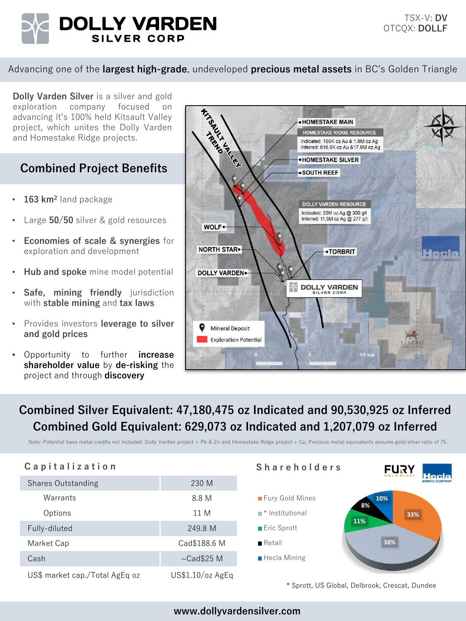

Advancing one of the **largest high-grade**, undeveloped **precious metal assets** in BC's Golden Triangle

**Dolly Varden Silver** is a silver and gold exploration company focused on advancing it's 100% held Kitsault Valley project, which unites the Dolly Varden and Homestake Ridge projects.

# **Combined Project Benefits**

- **163 km<sup>2</sup>** land package
- Large **50/50** silver & gold resources
- **Economies of scale & synergies** for exploration and development
- **Hub and spoke** mine model potential
- **Safe, mining friendly** jurisdiction with **stable mining** and **tax laws**
- Provides investors **leverage to silver and gold prices**
- Opportunity to further **increase shareholder value** by **de-risking** the project and through **discovery**



## **Combined Silver Equivalent: 47,180,475 oz Indicated and 90,530,925 oz Inferred Combined Gold Equivalent: 629,073 oz Indicated and 1,207,079 oz Inferred**

Note: Potential base metal credits not included: Dolly Varden project + Pb & Zn and Homestake Ridge project + Cu. Precious metal equivalents assume gold/silver ratio of 75.



\* Sprott, US Global, Delbrook, Crescat, Dundee

#### **www.dollyvardensilver.com**